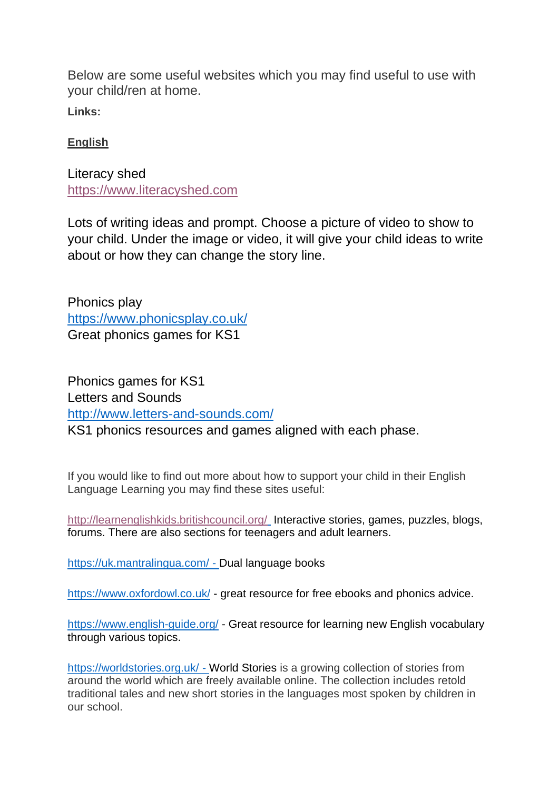Below are some useful websites which you may find useful to use with your child/ren at home.

**Links:**

## **English**

Literacy shed [https://www.literacyshed.com](https://www.literacyshed.com/)

Lots of writing ideas and prompt. Choose a picture of video to show to your child. Under the image or video, it will give your child ideas to write about or how they can change the story line.

Phonics play <https://www.phonicsplay.co.uk/> Great phonics games for KS1

Phonics games for KS1 Letters and Sounds <http://www.letters-and-sounds.com/> KS1 phonics resources and games aligned with each phase.

If you would like to find out more about how to support your child in their English Language Learning you may find these sites useful:

<http://learnenglishkids.britishcouncil.org/> Interactive stories, games, puzzles, blogs, forums. There are also sections for teenagers and adult learners.

<https://uk.mantralingua.com/> - Dual language books

<https://www.oxfordowl.co.uk/> - great resource for free ebooks and phonics advice.

<https://www.english-guide.org/> - Great resource for learning new English vocabulary through various topics.

<https://worldstories.org.uk/> - [World Stories](http://www.worldstories.org.uk/) is a growing collection of stories from around the world which are freely available online. The collection includes retold traditional tales and new short stories in the languages most spoken by children in our school.